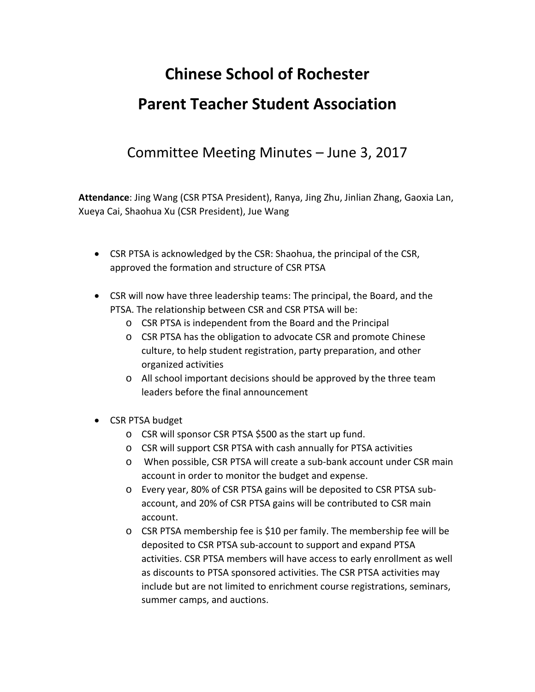## **Chinese School of Rochester Parent Teacher Student Association**

## Committee Meeting Minutes – June 3, 2017

**Attendance**: Jing Wang (CSR PTSA President), Ranya, Jing Zhu, Jinlian Zhang, Gaoxia Lan, Xueya Cai, Shaohua Xu (CSR President), Jue Wang

- CSR PTSA is acknowledged by the CSR: Shaohua, the principal of the CSR, approved the formation and structure of CSR PTSA
- CSR will now have three leadership teams: The principal, the Board, and the PTSA. The relationship between CSR and CSR PTSA will be:
	- o CSR PTSA is independent from the Board and the Principal
	- o CSR PTSA has the obligation to advocate CSR and promote Chinese culture, to help student registration, party preparation, and other organized activities
	- o All school important decisions should be approved by the three team leaders before the final announcement
- CSR PTSA budget
	- o CSR will sponsor CSR PTSA \$500 as the start up fund.
	- o CSR will support CSR PTSA with cash annually for PTSA activities
	- o When possible, CSR PTSA will create a sub-bank account under CSR main account in order to monitor the budget and expense.
	- o Every year, 80% of CSR PTSA gains will be deposited to CSR PTSA subaccount, and 20% of CSR PTSA gains will be contributed to CSR main account.
	- o CSR PTSA membership fee is \$10 per family. The membership fee will be deposited to CSR PTSA sub-account to support and expand PTSA activities. CSR PTSA members will have access to early enrollment as well as discounts to PTSA sponsored activities. The CSR PTSA activities may include but are not limited to enrichment course registrations, seminars, summer camps, and auctions.